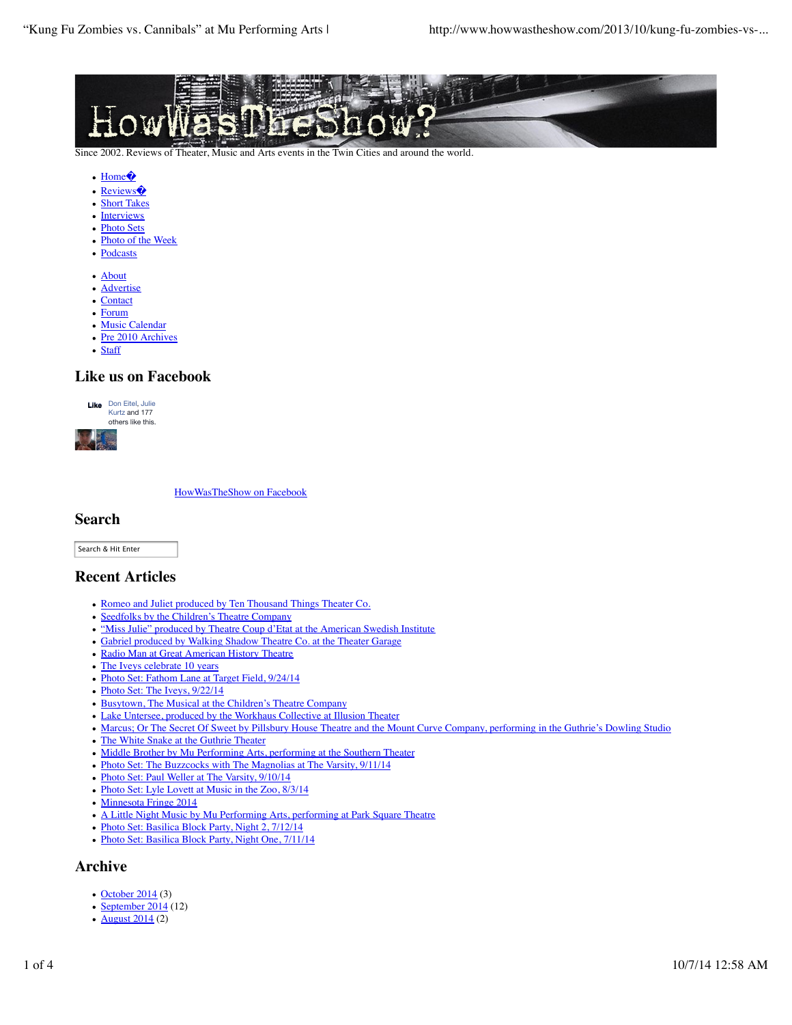

Since 2002. Reviews of Theater, Music and Arts events in the Twin Cities and around the world.

- Home<sup>2</sup>
- Reviews
- Short Takes
- Interviews
- Photo Sets
- Photo of the Week
- Podcasts
- About
- Advertise
- Contact
- Forum
- Music Calendar
- Pre 2010 Archives
- Staff

## **Like us on Facebook**





HowWasTheShow on Facebook

## **Search**

Search & Hit Enter

## **Recent Articles**

- Romeo and Juliet produced by Ten Thousand Things Theater Co.
- Seedfolks by the Children's Theatre Company
- "Miss Julie" produced by Theatre Coup d'Etat at the American Swedish Institute
- Gabriel produced by Walking Shadow Theatre Co. at the Theater Garage
- Radio Man at Great American History Theatre
- The Iveys celebrate 10 years
- Photo Set: Fathom Lane at Target Field, 9/24/14
- Photo Set: The Iveys, 9/22/14
- Busytown, The Musical at the Children's Theatre Company
- Lake Untersee, produced by the Workhaus Collective at Illusion Theater
- Marcus; Or The Secret Of Sweet by Pillsbury House Theatre and the Mount Curve Company, performing in the Guthrie's Dowling Studio
- The White Snake at the Guthrie Theater
- Middle Brother by Mu Performing Arts, performing at the Southern Theater
- Photo Set: The Buzzcocks with The Magnolias at The Varsity, 9/11/14
- Photo Set: Paul Weller at The Varsity, 9/10/14
- Photo Set: Lyle Lovett at Music in the Zoo, 8/3/14
- Minnesota Fringe 2014
- A Little Night Music by Mu Performing Arts, performing at Park Square Theatre
- Photo Set: Basilica Block Party, Night 2, 7/12/14
- Photo Set: Basilica Block Party, Night One, 7/11/14

## **Archive**

- $\cdot$  October 2014 (3)
- September  $2014(12)$
- **August 2014** (2)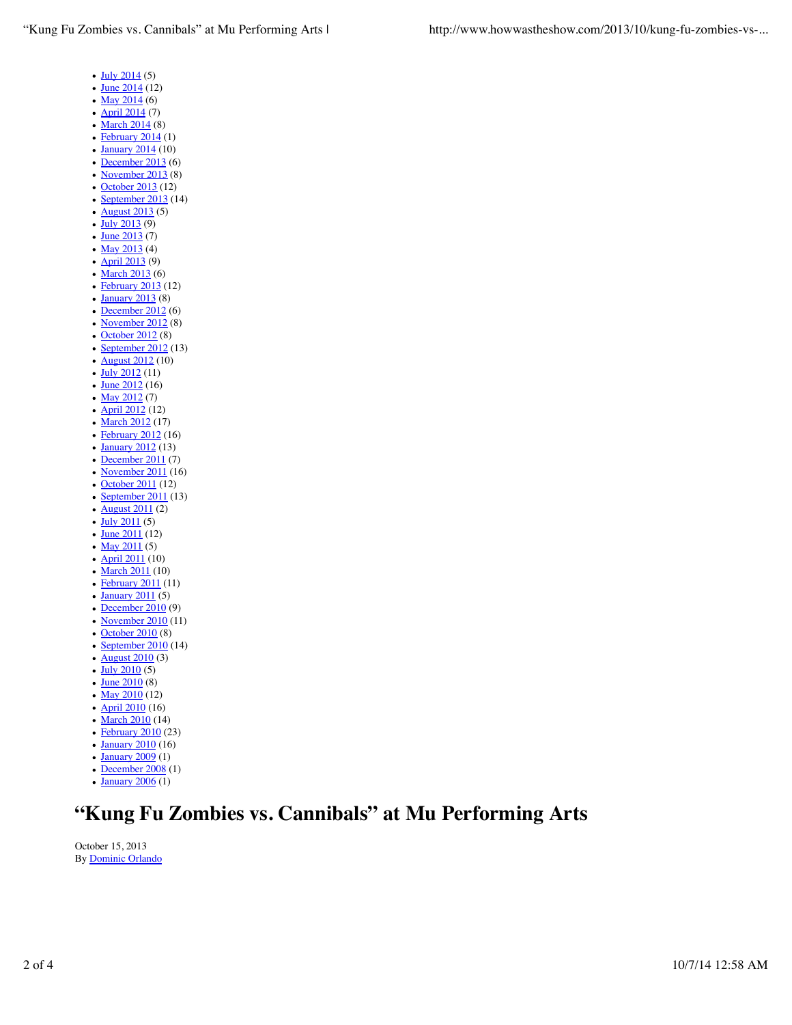- $\cdot$  July 2014 (5)
- $\bullet$  June 2014 (12)
- May  $2014(6)$
- April 2014 (7)
- $\cdot$  March 2014 (8)
- $\cdot$  February 2014 (1)
- January 2014 (10)
- December 2013 (6)
- $\bullet$  November 2013 (8)
- October 2013 (12)
- September 2013 (14) • August 2013 (5)
- $\cdot \frac{\text{July } 2013 (9)}{}$
- 
- $\cdot$  June 2013 (7)
- May  $2013(4)$
- April 2013 (9)
- $\bullet$  March 2013 (6)
- February 2013 (12)
- $\bullet$  January 2013 (8)
- December 2012 (6)
- November 2012 (8)  $\cdot$  October 2012 (8)
- $\cdot$  September 2012 (13)
- **August 2012** (10)
- July 2012 (11)
- 
- $\cdot$  June 2012 (16)
- May  $2012(7)$
- April 2012 (12)
- $\sqrt{\frac{\text{March }2012}{\text{Math }2012}}$  (17) • February 2012 (16)
- 
- **January 2012** (13)
- December 2011 (7)
- November 2011 (16)
- October 2011 (12)
- $\cdot$  September 2011 (13)
- $\bullet$  August 2011 (2)
- $\cdot$  July 2011 (5)
- $\frac{\text{June } 2011}{\text{(12)}}$ • May  $2011(5)$
- **April 2011** (10)
- $\cdot$  March 2011 (10)
- February 2011 (11)
- $\cdot$  January 2011 (5)
- $\cdot$  December 2010 (9)
- November 2010 (11)
- October 2010 (8)
- $\cdot$  September 2010 (14)
- <u>August 2010</u>  $(3)$
- $\cdot$  July 2010 (5)
- $\frac{June 2010}{(8)}$
- May  $2010(12)$
- April 2010 (16)
- March 2010 (14)
- February 2010 (23)
- January 2010 (16)
- $\frac{1}{\text{January } 2009}$  (1)
- $\cdot$  December 2008 (1)
- January 2006 (1)

# **"Kung Fu Zombies vs. Cannibals" at Mu Performing Arts**

October 15, 2013 By Dominic Orlando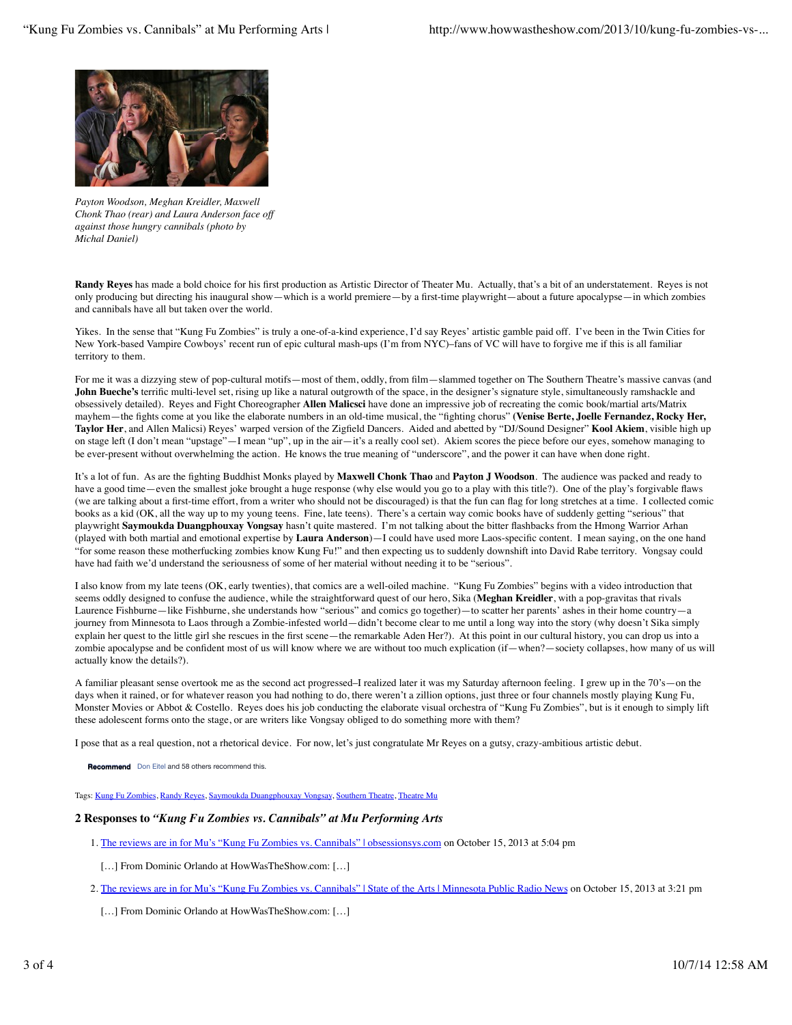

*Payton Woodson, Meghan Kreidler, Maxwell Chonk Thao (rear) and Laura Anderson face off against those hungry cannibals (photo by Michal Daniel)*

**Randy Reyes** has made a bold choice for his first production as Artistic Director of Theater Mu. Actually, that's a bit of an understatement. Reyes is not only producing but directing his inaugural show—which is a world premiere—by a first-time playwright—about a future apocalypse—in which zombies and cannibals have all but taken over the world.

Yikes. In the sense that "Kung Fu Zombies" is truly a one-of-a-kind experience, I'd say Reyes' artistic gamble paid off. I've been in the Twin Cities for New York-based Vampire Cowboys' recent run of epic cultural mash-ups (I'm from NYC)–fans of VC will have to forgive me if this is all familiar territory to them.

For me it was a dizzying stew of pop-cultural motifs—most of them, oddly, from film—slammed together on The Southern Theatre's massive canvas (and John Bueche's terrific multi-level set, rising up like a natural outgrowth of the space, in the designer's signature style, simultaneously ramshackle and obsessively detailed). Reyes and Fight Choreographer **Allen Malicsci** have done an impressive job of recreating the comic book/martial arts/Matrix mayhem—the fights come at you like the elaborate numbers in an old-time musical, the "fighting chorus" **(Venise Berte, Joelle Fernandez, Rocky Her, Taylor Her**, and Allen Malicsi) Reyes' warped version of the Zigfield Dancers. Aided and abetted by "DJ/Sound Designer" **Kool Akiem**, visible high up on stage left (I don't mean "upstage"—I mean "up", up in the air—it's a really cool set). Akiem scores the piece before our eyes, somehow managing to be ever-present without overwhelming the action. He knows the true meaning of "underscore", and the power it can have when done right.

It's a lot of fun. As are the fighting Buddhist Monks played by **Maxwell Chonk Thao** and **Payton J Woodson**. The audience was packed and ready to have a good time—even the smallest joke brought a huge response (why else would you go to a play with this title?). One of the play's forgivable flaws (we are talking about a first-time effort, from a writer who should not be discouraged) is that the fun can flag for long stretches at a time. I collected comic books as a kid (OK, all the way up to my young teens. Fine, late teens). There's a certain way comic books have of suddenly getting "serious" that playwright **Saymoukda Duangphouxay Vongsay** hasn't quite mastered. I'm not talking about the bitter flashbacks from the Hmong Warrior Arhan (played with both martial and emotional expertise by **Laura Anderson**)—I could have used more Laos-specific content. I mean saying, on the one hand "for some reason these motherfucking zombies know Kung Fu!" and then expecting us to suddenly downshift into David Rabe territory. Vongsay could have had faith we'd understand the seriousness of some of her material without needing it to be "serious".

I also know from my late teens (OK, early twenties), that comics are a well-oiled machine. "Kung Fu Zombies" begins with a video introduction that seems oddly designed to confuse the audience, while the straightforward quest of our hero, Sika (**Meghan Kreidler**, with a pop-gravitas that rivals Laurence Fishburne—like Fishburne, she understands how "serious" and comics go together)—to scatter her parents' ashes in their home country—a journey from Minnesota to Laos through a Zombie-infested world—didn't become clear to me until a long way into the story (why doesn't Sika simply explain her quest to the little girl she rescues in the first scene—the remarkable Aden Her?). At this point in our cultural history, you can drop us into a zombie apocalypse and be confident most of us will know where we are without too much explication (if—when?—society collapses, how many of us will actually know the details?).

A familiar pleasant sense overtook me as the second act progressed–I realized later it was my Saturday afternoon feeling. I grew up in the 70's—on the days when it rained, or for whatever reason you had nothing to do, there weren't a zillion options, just three or four channels mostly playing Kung Fu, Monster Movies or Abbot & Costello. Reyes does his job conducting the elaborate visual orchestra of "Kung Fu Zombies", but is it enough to simply lift these adolescent forms onto the stage, or are writers like Vongsay obliged to do something more with them?

I pose that as a real question, not a rhetorical device. For now, let's just congratulate Mr Reyes on a gutsy, crazy-ambitious artistic debut.

**Recommend** Don Eitel and 58 others recommend this.

Tags: Kung Fu Zombies, Randy Reyes, Saymoukda Duangphouxay Vongsay, Southern Theatre, Theatre Mu

#### **2 Responses to** *"Kung Fu Zombies vs. Cannibals" at Mu Performing Arts*

- 1. The reviews are in for Mu's "Kung Fu Zombies vs. Cannibals" | obsessionsys.com on October 15, 2013 at 5:04 pm
- […] From Dominic Orlando at HowWasTheShow.com: […]
- 2. <u>The reviews are in for Mu's "Kung Fu Zombies vs. Cannibals" | State of the Arts | Minnesota Public Radio News</u> on October 15, 2013 at 3:21 pm
- [...] From Dominic Orlando at HowWasTheShow.com: [...]